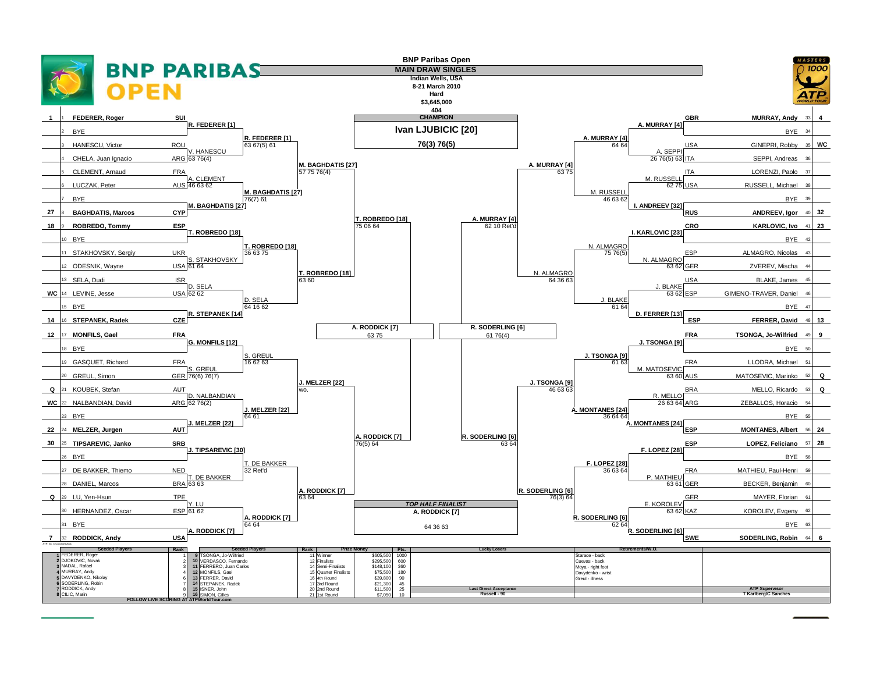